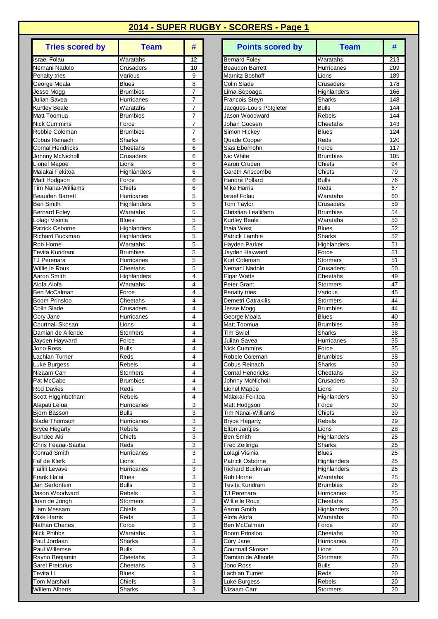| Israel Folau<br>Waratahs<br>12<br>Nemani Nadolo<br>Crusaders<br>10<br>Penalty tries<br>Various<br>9<br>George Moala<br><b>Blues</b><br>8<br>$\overline{7}$<br>Jesse Mogg<br><b>Brumbies</b><br>Julian Savea<br>7<br>Hurricanes<br>Waratahs<br>7<br><b>Kurtley Beale</b><br>Matt Toomua<br><b>Brumbies</b><br>7<br>Nick Cummins<br>7<br>Force<br>Robbie Coleman<br><b>Brumbies</b><br>7<br>Cobus Reinach<br>Sharks<br>6<br><b>Cornal Hendricks</b><br>Cheetahs<br>6<br>Johnny McNicholl<br>Crusaders<br>6<br>Lionel Mapoe<br>Lions<br>6<br>Malakai Fekitoa<br>Highlanders<br>6<br>Matt Hodgson<br>Force<br>6<br>Tim Nanai-Williams<br>Chiefs<br>6<br>Beauden Barrett<br>Hurricanes<br>5<br><b>Ben Smith</b><br>Highlanders<br>5<br>5<br><b>Bernard Foley</b><br>Waratahs<br>5<br>Lolagi Visinia<br><b>Blues</b><br>5<br>Patrick Osborne<br>Highlanders<br>5<br>Richard Buckman<br>Highlanders<br>$\overline{W}$ aratahs<br>Rob Horne<br>5<br>Tevita Kuridrani<br><b>Brumbies</b><br>5<br>5<br>Hurricanes<br>TJ Perenara<br>Willie le Roux<br>5<br>Cheetahs<br>Aaron Smith<br>4<br>Highlanders<br>Waratahs<br>4<br>Alofa Alofa<br>4<br>Ben McCalman<br>Force<br>Boom Prinsloo<br>Cheetahs<br>4<br>4<br>Colin Slade<br>Crusaders<br>4<br>Cory Jane<br>Hurricanes<br>4<br>Courtnall Skosan<br>Lions<br>Damian de Allende<br><b>Stormers</b><br>4<br>Jayden Hayward<br>4<br>Force<br>4<br>Jono Ross<br>Bulls<br>4<br>Lachlan Turner<br>Reds<br>4<br>Luke Burgess<br>Rebels<br>4<br>Nizaam Carr<br>Stormers<br>Pat McCabe<br><b>Brumbies</b><br>4<br><b>Rod Davies</b><br>Reds<br>4<br>4<br>Scott Higginbotham<br>Rebels<br>3<br>Alapati Leiua<br>Hurricanes<br>3<br>Bjorn Basson<br><b>Bulls</b><br>3<br><b>Blade Thomson</b><br>Hurricanes<br>3<br><b>Bryce Hegarty</b><br>Rebels<br><b>Bundee Aki</b><br>3<br>Chiefs<br>3<br>Chris Feauai-Sautia<br>Reds<br>3<br><b>Conrad Smith</b><br>Hurricanes<br>Lions<br>3<br>Faf de Klerk<br>3<br>Faifili Levave<br>Hurricanes<br>3<br>Frank Halai<br><b>Blues</b><br>3<br>Jan Serfontein<br><b>Bulls</b><br>3<br>Jason Woodward<br>Rebels<br>Juan de Jongh<br>3<br>Stormers<br>3<br>Liam Messam<br>Chiefs<br>Mike Harris<br>3<br>Reds<br>3<br>Nathan Charles<br>Force<br>3<br>Nick Phibbs<br>Waratahs<br>3<br>Paul Jordaan<br>Sharks<br>Paul Willemse<br>3<br>Bulls<br>3<br>Rayno Benjamin<br>Cheetahs<br>Sarel Pretorius<br>3<br>Cheetahs<br>3<br>Tevita Li<br><b>Blues</b><br>3<br><b>Tom Marshall</b><br>Chiefs<br><b>Willem Alberts</b><br>3<br>Sharks | <b>Tries scored by</b> | <b>Team</b> | # |
|-------------------------------------------------------------------------------------------------------------------------------------------------------------------------------------------------------------------------------------------------------------------------------------------------------------------------------------------------------------------------------------------------------------------------------------------------------------------------------------------------------------------------------------------------------------------------------------------------------------------------------------------------------------------------------------------------------------------------------------------------------------------------------------------------------------------------------------------------------------------------------------------------------------------------------------------------------------------------------------------------------------------------------------------------------------------------------------------------------------------------------------------------------------------------------------------------------------------------------------------------------------------------------------------------------------------------------------------------------------------------------------------------------------------------------------------------------------------------------------------------------------------------------------------------------------------------------------------------------------------------------------------------------------------------------------------------------------------------------------------------------------------------------------------------------------------------------------------------------------------------------------------------------------------------------------------------------------------------------------------------------------------------------------------------------------------------------------------------------------------------------------------------------------------------------------------------------------------------------------------------------------------------------------------------------------------------------------------------------------------------------------------------------------------------------------------------------------------------------------------------|------------------------|-------------|---|
|                                                                                                                                                                                                                                                                                                                                                                                                                                                                                                                                                                                                                                                                                                                                                                                                                                                                                                                                                                                                                                                                                                                                                                                                                                                                                                                                                                                                                                                                                                                                                                                                                                                                                                                                                                                                                                                                                                                                                                                                                                                                                                                                                                                                                                                                                                                                                                                                                                                                                                 |                        |             |   |
|                                                                                                                                                                                                                                                                                                                                                                                                                                                                                                                                                                                                                                                                                                                                                                                                                                                                                                                                                                                                                                                                                                                                                                                                                                                                                                                                                                                                                                                                                                                                                                                                                                                                                                                                                                                                                                                                                                                                                                                                                                                                                                                                                                                                                                                                                                                                                                                                                                                                                                 |                        |             |   |
|                                                                                                                                                                                                                                                                                                                                                                                                                                                                                                                                                                                                                                                                                                                                                                                                                                                                                                                                                                                                                                                                                                                                                                                                                                                                                                                                                                                                                                                                                                                                                                                                                                                                                                                                                                                                                                                                                                                                                                                                                                                                                                                                                                                                                                                                                                                                                                                                                                                                                                 |                        |             |   |
|                                                                                                                                                                                                                                                                                                                                                                                                                                                                                                                                                                                                                                                                                                                                                                                                                                                                                                                                                                                                                                                                                                                                                                                                                                                                                                                                                                                                                                                                                                                                                                                                                                                                                                                                                                                                                                                                                                                                                                                                                                                                                                                                                                                                                                                                                                                                                                                                                                                                                                 |                        |             |   |
|                                                                                                                                                                                                                                                                                                                                                                                                                                                                                                                                                                                                                                                                                                                                                                                                                                                                                                                                                                                                                                                                                                                                                                                                                                                                                                                                                                                                                                                                                                                                                                                                                                                                                                                                                                                                                                                                                                                                                                                                                                                                                                                                                                                                                                                                                                                                                                                                                                                                                                 |                        |             |   |
|                                                                                                                                                                                                                                                                                                                                                                                                                                                                                                                                                                                                                                                                                                                                                                                                                                                                                                                                                                                                                                                                                                                                                                                                                                                                                                                                                                                                                                                                                                                                                                                                                                                                                                                                                                                                                                                                                                                                                                                                                                                                                                                                                                                                                                                                                                                                                                                                                                                                                                 |                        |             |   |
|                                                                                                                                                                                                                                                                                                                                                                                                                                                                                                                                                                                                                                                                                                                                                                                                                                                                                                                                                                                                                                                                                                                                                                                                                                                                                                                                                                                                                                                                                                                                                                                                                                                                                                                                                                                                                                                                                                                                                                                                                                                                                                                                                                                                                                                                                                                                                                                                                                                                                                 |                        |             |   |
|                                                                                                                                                                                                                                                                                                                                                                                                                                                                                                                                                                                                                                                                                                                                                                                                                                                                                                                                                                                                                                                                                                                                                                                                                                                                                                                                                                                                                                                                                                                                                                                                                                                                                                                                                                                                                                                                                                                                                                                                                                                                                                                                                                                                                                                                                                                                                                                                                                                                                                 |                        |             |   |
|                                                                                                                                                                                                                                                                                                                                                                                                                                                                                                                                                                                                                                                                                                                                                                                                                                                                                                                                                                                                                                                                                                                                                                                                                                                                                                                                                                                                                                                                                                                                                                                                                                                                                                                                                                                                                                                                                                                                                                                                                                                                                                                                                                                                                                                                                                                                                                                                                                                                                                 |                        |             |   |
|                                                                                                                                                                                                                                                                                                                                                                                                                                                                                                                                                                                                                                                                                                                                                                                                                                                                                                                                                                                                                                                                                                                                                                                                                                                                                                                                                                                                                                                                                                                                                                                                                                                                                                                                                                                                                                                                                                                                                                                                                                                                                                                                                                                                                                                                                                                                                                                                                                                                                                 |                        |             |   |
|                                                                                                                                                                                                                                                                                                                                                                                                                                                                                                                                                                                                                                                                                                                                                                                                                                                                                                                                                                                                                                                                                                                                                                                                                                                                                                                                                                                                                                                                                                                                                                                                                                                                                                                                                                                                                                                                                                                                                                                                                                                                                                                                                                                                                                                                                                                                                                                                                                                                                                 |                        |             |   |
|                                                                                                                                                                                                                                                                                                                                                                                                                                                                                                                                                                                                                                                                                                                                                                                                                                                                                                                                                                                                                                                                                                                                                                                                                                                                                                                                                                                                                                                                                                                                                                                                                                                                                                                                                                                                                                                                                                                                                                                                                                                                                                                                                                                                                                                                                                                                                                                                                                                                                                 |                        |             |   |
|                                                                                                                                                                                                                                                                                                                                                                                                                                                                                                                                                                                                                                                                                                                                                                                                                                                                                                                                                                                                                                                                                                                                                                                                                                                                                                                                                                                                                                                                                                                                                                                                                                                                                                                                                                                                                                                                                                                                                                                                                                                                                                                                                                                                                                                                                                                                                                                                                                                                                                 |                        |             |   |
|                                                                                                                                                                                                                                                                                                                                                                                                                                                                                                                                                                                                                                                                                                                                                                                                                                                                                                                                                                                                                                                                                                                                                                                                                                                                                                                                                                                                                                                                                                                                                                                                                                                                                                                                                                                                                                                                                                                                                                                                                                                                                                                                                                                                                                                                                                                                                                                                                                                                                                 |                        |             |   |
|                                                                                                                                                                                                                                                                                                                                                                                                                                                                                                                                                                                                                                                                                                                                                                                                                                                                                                                                                                                                                                                                                                                                                                                                                                                                                                                                                                                                                                                                                                                                                                                                                                                                                                                                                                                                                                                                                                                                                                                                                                                                                                                                                                                                                                                                                                                                                                                                                                                                                                 |                        |             |   |
|                                                                                                                                                                                                                                                                                                                                                                                                                                                                                                                                                                                                                                                                                                                                                                                                                                                                                                                                                                                                                                                                                                                                                                                                                                                                                                                                                                                                                                                                                                                                                                                                                                                                                                                                                                                                                                                                                                                                                                                                                                                                                                                                                                                                                                                                                                                                                                                                                                                                                                 |                        |             |   |
|                                                                                                                                                                                                                                                                                                                                                                                                                                                                                                                                                                                                                                                                                                                                                                                                                                                                                                                                                                                                                                                                                                                                                                                                                                                                                                                                                                                                                                                                                                                                                                                                                                                                                                                                                                                                                                                                                                                                                                                                                                                                                                                                                                                                                                                                                                                                                                                                                                                                                                 |                        |             |   |
|                                                                                                                                                                                                                                                                                                                                                                                                                                                                                                                                                                                                                                                                                                                                                                                                                                                                                                                                                                                                                                                                                                                                                                                                                                                                                                                                                                                                                                                                                                                                                                                                                                                                                                                                                                                                                                                                                                                                                                                                                                                                                                                                                                                                                                                                                                                                                                                                                                                                                                 |                        |             |   |
|                                                                                                                                                                                                                                                                                                                                                                                                                                                                                                                                                                                                                                                                                                                                                                                                                                                                                                                                                                                                                                                                                                                                                                                                                                                                                                                                                                                                                                                                                                                                                                                                                                                                                                                                                                                                                                                                                                                                                                                                                                                                                                                                                                                                                                                                                                                                                                                                                                                                                                 |                        |             |   |
|                                                                                                                                                                                                                                                                                                                                                                                                                                                                                                                                                                                                                                                                                                                                                                                                                                                                                                                                                                                                                                                                                                                                                                                                                                                                                                                                                                                                                                                                                                                                                                                                                                                                                                                                                                                                                                                                                                                                                                                                                                                                                                                                                                                                                                                                                                                                                                                                                                                                                                 |                        |             |   |
|                                                                                                                                                                                                                                                                                                                                                                                                                                                                                                                                                                                                                                                                                                                                                                                                                                                                                                                                                                                                                                                                                                                                                                                                                                                                                                                                                                                                                                                                                                                                                                                                                                                                                                                                                                                                                                                                                                                                                                                                                                                                                                                                                                                                                                                                                                                                                                                                                                                                                                 |                        |             |   |
|                                                                                                                                                                                                                                                                                                                                                                                                                                                                                                                                                                                                                                                                                                                                                                                                                                                                                                                                                                                                                                                                                                                                                                                                                                                                                                                                                                                                                                                                                                                                                                                                                                                                                                                                                                                                                                                                                                                                                                                                                                                                                                                                                                                                                                                                                                                                                                                                                                                                                                 |                        |             |   |
|                                                                                                                                                                                                                                                                                                                                                                                                                                                                                                                                                                                                                                                                                                                                                                                                                                                                                                                                                                                                                                                                                                                                                                                                                                                                                                                                                                                                                                                                                                                                                                                                                                                                                                                                                                                                                                                                                                                                                                                                                                                                                                                                                                                                                                                                                                                                                                                                                                                                                                 |                        |             |   |
|                                                                                                                                                                                                                                                                                                                                                                                                                                                                                                                                                                                                                                                                                                                                                                                                                                                                                                                                                                                                                                                                                                                                                                                                                                                                                                                                                                                                                                                                                                                                                                                                                                                                                                                                                                                                                                                                                                                                                                                                                                                                                                                                                                                                                                                                                                                                                                                                                                                                                                 |                        |             |   |
|                                                                                                                                                                                                                                                                                                                                                                                                                                                                                                                                                                                                                                                                                                                                                                                                                                                                                                                                                                                                                                                                                                                                                                                                                                                                                                                                                                                                                                                                                                                                                                                                                                                                                                                                                                                                                                                                                                                                                                                                                                                                                                                                                                                                                                                                                                                                                                                                                                                                                                 |                        |             |   |
|                                                                                                                                                                                                                                                                                                                                                                                                                                                                                                                                                                                                                                                                                                                                                                                                                                                                                                                                                                                                                                                                                                                                                                                                                                                                                                                                                                                                                                                                                                                                                                                                                                                                                                                                                                                                                                                                                                                                                                                                                                                                                                                                                                                                                                                                                                                                                                                                                                                                                                 |                        |             |   |
|                                                                                                                                                                                                                                                                                                                                                                                                                                                                                                                                                                                                                                                                                                                                                                                                                                                                                                                                                                                                                                                                                                                                                                                                                                                                                                                                                                                                                                                                                                                                                                                                                                                                                                                                                                                                                                                                                                                                                                                                                                                                                                                                                                                                                                                                                                                                                                                                                                                                                                 |                        |             |   |
|                                                                                                                                                                                                                                                                                                                                                                                                                                                                                                                                                                                                                                                                                                                                                                                                                                                                                                                                                                                                                                                                                                                                                                                                                                                                                                                                                                                                                                                                                                                                                                                                                                                                                                                                                                                                                                                                                                                                                                                                                                                                                                                                                                                                                                                                                                                                                                                                                                                                                                 |                        |             |   |
|                                                                                                                                                                                                                                                                                                                                                                                                                                                                                                                                                                                                                                                                                                                                                                                                                                                                                                                                                                                                                                                                                                                                                                                                                                                                                                                                                                                                                                                                                                                                                                                                                                                                                                                                                                                                                                                                                                                                                                                                                                                                                                                                                                                                                                                                                                                                                                                                                                                                                                 |                        |             |   |
|                                                                                                                                                                                                                                                                                                                                                                                                                                                                                                                                                                                                                                                                                                                                                                                                                                                                                                                                                                                                                                                                                                                                                                                                                                                                                                                                                                                                                                                                                                                                                                                                                                                                                                                                                                                                                                                                                                                                                                                                                                                                                                                                                                                                                                                                                                                                                                                                                                                                                                 |                        |             |   |
|                                                                                                                                                                                                                                                                                                                                                                                                                                                                                                                                                                                                                                                                                                                                                                                                                                                                                                                                                                                                                                                                                                                                                                                                                                                                                                                                                                                                                                                                                                                                                                                                                                                                                                                                                                                                                                                                                                                                                                                                                                                                                                                                                                                                                                                                                                                                                                                                                                                                                                 |                        |             |   |
|                                                                                                                                                                                                                                                                                                                                                                                                                                                                                                                                                                                                                                                                                                                                                                                                                                                                                                                                                                                                                                                                                                                                                                                                                                                                                                                                                                                                                                                                                                                                                                                                                                                                                                                                                                                                                                                                                                                                                                                                                                                                                                                                                                                                                                                                                                                                                                                                                                                                                                 |                        |             |   |
|                                                                                                                                                                                                                                                                                                                                                                                                                                                                                                                                                                                                                                                                                                                                                                                                                                                                                                                                                                                                                                                                                                                                                                                                                                                                                                                                                                                                                                                                                                                                                                                                                                                                                                                                                                                                                                                                                                                                                                                                                                                                                                                                                                                                                                                                                                                                                                                                                                                                                                 |                        |             |   |
|                                                                                                                                                                                                                                                                                                                                                                                                                                                                                                                                                                                                                                                                                                                                                                                                                                                                                                                                                                                                                                                                                                                                                                                                                                                                                                                                                                                                                                                                                                                                                                                                                                                                                                                                                                                                                                                                                                                                                                                                                                                                                                                                                                                                                                                                                                                                                                                                                                                                                                 |                        |             |   |
|                                                                                                                                                                                                                                                                                                                                                                                                                                                                                                                                                                                                                                                                                                                                                                                                                                                                                                                                                                                                                                                                                                                                                                                                                                                                                                                                                                                                                                                                                                                                                                                                                                                                                                                                                                                                                                                                                                                                                                                                                                                                                                                                                                                                                                                                                                                                                                                                                                                                                                 |                        |             |   |
|                                                                                                                                                                                                                                                                                                                                                                                                                                                                                                                                                                                                                                                                                                                                                                                                                                                                                                                                                                                                                                                                                                                                                                                                                                                                                                                                                                                                                                                                                                                                                                                                                                                                                                                                                                                                                                                                                                                                                                                                                                                                                                                                                                                                                                                                                                                                                                                                                                                                                                 |                        |             |   |
|                                                                                                                                                                                                                                                                                                                                                                                                                                                                                                                                                                                                                                                                                                                                                                                                                                                                                                                                                                                                                                                                                                                                                                                                                                                                                                                                                                                                                                                                                                                                                                                                                                                                                                                                                                                                                                                                                                                                                                                                                                                                                                                                                                                                                                                                                                                                                                                                                                                                                                 |                        |             |   |
|                                                                                                                                                                                                                                                                                                                                                                                                                                                                                                                                                                                                                                                                                                                                                                                                                                                                                                                                                                                                                                                                                                                                                                                                                                                                                                                                                                                                                                                                                                                                                                                                                                                                                                                                                                                                                                                                                                                                                                                                                                                                                                                                                                                                                                                                                                                                                                                                                                                                                                 |                        |             |   |
|                                                                                                                                                                                                                                                                                                                                                                                                                                                                                                                                                                                                                                                                                                                                                                                                                                                                                                                                                                                                                                                                                                                                                                                                                                                                                                                                                                                                                                                                                                                                                                                                                                                                                                                                                                                                                                                                                                                                                                                                                                                                                                                                                                                                                                                                                                                                                                                                                                                                                                 |                        |             |   |
|                                                                                                                                                                                                                                                                                                                                                                                                                                                                                                                                                                                                                                                                                                                                                                                                                                                                                                                                                                                                                                                                                                                                                                                                                                                                                                                                                                                                                                                                                                                                                                                                                                                                                                                                                                                                                                                                                                                                                                                                                                                                                                                                                                                                                                                                                                                                                                                                                                                                                                 |                        |             |   |
|                                                                                                                                                                                                                                                                                                                                                                                                                                                                                                                                                                                                                                                                                                                                                                                                                                                                                                                                                                                                                                                                                                                                                                                                                                                                                                                                                                                                                                                                                                                                                                                                                                                                                                                                                                                                                                                                                                                                                                                                                                                                                                                                                                                                                                                                                                                                                                                                                                                                                                 |                        |             |   |
|                                                                                                                                                                                                                                                                                                                                                                                                                                                                                                                                                                                                                                                                                                                                                                                                                                                                                                                                                                                                                                                                                                                                                                                                                                                                                                                                                                                                                                                                                                                                                                                                                                                                                                                                                                                                                                                                                                                                                                                                                                                                                                                                                                                                                                                                                                                                                                                                                                                                                                 |                        |             |   |
|                                                                                                                                                                                                                                                                                                                                                                                                                                                                                                                                                                                                                                                                                                                                                                                                                                                                                                                                                                                                                                                                                                                                                                                                                                                                                                                                                                                                                                                                                                                                                                                                                                                                                                                                                                                                                                                                                                                                                                                                                                                                                                                                                                                                                                                                                                                                                                                                                                                                                                 |                        |             |   |
|                                                                                                                                                                                                                                                                                                                                                                                                                                                                                                                                                                                                                                                                                                                                                                                                                                                                                                                                                                                                                                                                                                                                                                                                                                                                                                                                                                                                                                                                                                                                                                                                                                                                                                                                                                                                                                                                                                                                                                                                                                                                                                                                                                                                                                                                                                                                                                                                                                                                                                 |                        |             |   |
|                                                                                                                                                                                                                                                                                                                                                                                                                                                                                                                                                                                                                                                                                                                                                                                                                                                                                                                                                                                                                                                                                                                                                                                                                                                                                                                                                                                                                                                                                                                                                                                                                                                                                                                                                                                                                                                                                                                                                                                                                                                                                                                                                                                                                                                                                                                                                                                                                                                                                                 |                        |             |   |
|                                                                                                                                                                                                                                                                                                                                                                                                                                                                                                                                                                                                                                                                                                                                                                                                                                                                                                                                                                                                                                                                                                                                                                                                                                                                                                                                                                                                                                                                                                                                                                                                                                                                                                                                                                                                                                                                                                                                                                                                                                                                                                                                                                                                                                                                                                                                                                                                                                                                                                 |                        |             |   |
|                                                                                                                                                                                                                                                                                                                                                                                                                                                                                                                                                                                                                                                                                                                                                                                                                                                                                                                                                                                                                                                                                                                                                                                                                                                                                                                                                                                                                                                                                                                                                                                                                                                                                                                                                                                                                                                                                                                                                                                                                                                                                                                                                                                                                                                                                                                                                                                                                                                                                                 |                        |             |   |
|                                                                                                                                                                                                                                                                                                                                                                                                                                                                                                                                                                                                                                                                                                                                                                                                                                                                                                                                                                                                                                                                                                                                                                                                                                                                                                                                                                                                                                                                                                                                                                                                                                                                                                                                                                                                                                                                                                                                                                                                                                                                                                                                                                                                                                                                                                                                                                                                                                                                                                 |                        |             |   |
|                                                                                                                                                                                                                                                                                                                                                                                                                                                                                                                                                                                                                                                                                                                                                                                                                                                                                                                                                                                                                                                                                                                                                                                                                                                                                                                                                                                                                                                                                                                                                                                                                                                                                                                                                                                                                                                                                                                                                                                                                                                                                                                                                                                                                                                                                                                                                                                                                                                                                                 |                        |             |   |
|                                                                                                                                                                                                                                                                                                                                                                                                                                                                                                                                                                                                                                                                                                                                                                                                                                                                                                                                                                                                                                                                                                                                                                                                                                                                                                                                                                                                                                                                                                                                                                                                                                                                                                                                                                                                                                                                                                                                                                                                                                                                                                                                                                                                                                                                                                                                                                                                                                                                                                 |                        |             |   |
|                                                                                                                                                                                                                                                                                                                                                                                                                                                                                                                                                                                                                                                                                                                                                                                                                                                                                                                                                                                                                                                                                                                                                                                                                                                                                                                                                                                                                                                                                                                                                                                                                                                                                                                                                                                                                                                                                                                                                                                                                                                                                                                                                                                                                                                                                                                                                                                                                                                                                                 |                        |             |   |
|                                                                                                                                                                                                                                                                                                                                                                                                                                                                                                                                                                                                                                                                                                                                                                                                                                                                                                                                                                                                                                                                                                                                                                                                                                                                                                                                                                                                                                                                                                                                                                                                                                                                                                                                                                                                                                                                                                                                                                                                                                                                                                                                                                                                                                                                                                                                                                                                                                                                                                 |                        |             |   |
|                                                                                                                                                                                                                                                                                                                                                                                                                                                                                                                                                                                                                                                                                                                                                                                                                                                                                                                                                                                                                                                                                                                                                                                                                                                                                                                                                                                                                                                                                                                                                                                                                                                                                                                                                                                                                                                                                                                                                                                                                                                                                                                                                                                                                                                                                                                                                                                                                                                                                                 |                        |             |   |
|                                                                                                                                                                                                                                                                                                                                                                                                                                                                                                                                                                                                                                                                                                                                                                                                                                                                                                                                                                                                                                                                                                                                                                                                                                                                                                                                                                                                                                                                                                                                                                                                                                                                                                                                                                                                                                                                                                                                                                                                                                                                                                                                                                                                                                                                                                                                                                                                                                                                                                 |                        |             |   |
|                                                                                                                                                                                                                                                                                                                                                                                                                                                                                                                                                                                                                                                                                                                                                                                                                                                                                                                                                                                                                                                                                                                                                                                                                                                                                                                                                                                                                                                                                                                                                                                                                                                                                                                                                                                                                                                                                                                                                                                                                                                                                                                                                                                                                                                                                                                                                                                                                                                                                                 |                        |             |   |
|                                                                                                                                                                                                                                                                                                                                                                                                                                                                                                                                                                                                                                                                                                                                                                                                                                                                                                                                                                                                                                                                                                                                                                                                                                                                                                                                                                                                                                                                                                                                                                                                                                                                                                                                                                                                                                                                                                                                                                                                                                                                                                                                                                                                                                                                                                                                                                                                                                                                                                 |                        |             |   |
|                                                                                                                                                                                                                                                                                                                                                                                                                                                                                                                                                                                                                                                                                                                                                                                                                                                                                                                                                                                                                                                                                                                                                                                                                                                                                                                                                                                                                                                                                                                                                                                                                                                                                                                                                                                                                                                                                                                                                                                                                                                                                                                                                                                                                                                                                                                                                                                                                                                                                                 |                        |             |   |
|                                                                                                                                                                                                                                                                                                                                                                                                                                                                                                                                                                                                                                                                                                                                                                                                                                                                                                                                                                                                                                                                                                                                                                                                                                                                                                                                                                                                                                                                                                                                                                                                                                                                                                                                                                                                                                                                                                                                                                                                                                                                                                                                                                                                                                                                                                                                                                                                                                                                                                 |                        |             |   |
|                                                                                                                                                                                                                                                                                                                                                                                                                                                                                                                                                                                                                                                                                                                                                                                                                                                                                                                                                                                                                                                                                                                                                                                                                                                                                                                                                                                                                                                                                                                                                                                                                                                                                                                                                                                                                                                                                                                                                                                                                                                                                                                                                                                                                                                                                                                                                                                                                                                                                                 |                        |             |   |
|                                                                                                                                                                                                                                                                                                                                                                                                                                                                                                                                                                                                                                                                                                                                                                                                                                                                                                                                                                                                                                                                                                                                                                                                                                                                                                                                                                                                                                                                                                                                                                                                                                                                                                                                                                                                                                                                                                                                                                                                                                                                                                                                                                                                                                                                                                                                                                                                                                                                                                 |                        |             |   |

| <b>Tries scored by</b>                 | <b>Team</b>                   | #                                | <b>Points scored by</b>                   | <b>Team</b>              | #          |
|----------------------------------------|-------------------------------|----------------------------------|-------------------------------------------|--------------------------|------------|
| <b>Israel Folau</b>                    | Waratahs                      | 12                               | <b>Bernard Foley</b>                      | Waratahs                 | 213        |
| Nemani Nadolo                          | Crusaders                     | 10                               | <b>Beauden Barrett</b>                    | Hurricanes               | 209        |
| Penalty tries                          | Various                       | 9                                | Marnitz Boshoff                           | Lions                    | 189        |
| George Moala                           | Blues                         | 8                                | Colin Slade                               | Crusaders                | 178        |
| Jesse Mogg                             | Brumbies                      | $\overline{7}$                   | Lima Sopoaga                              | Highlanders              | 166        |
| Julian Savea                           | Hurricanes                    | $\overline{7}$<br>$\overline{7}$ | <b>Francois Steyn</b>                     | Sharks                   | 148        |
| Kurtley Beale<br>Matt Toomua           | Waratahs<br><b>Brumbies</b>   | $\overline{7}$                   | Jacques-Louis Potgieter<br>Jason Woodward | <b>Bulls</b><br>Rebels   | 144<br>144 |
| <b>Nick Cummins</b>                    | Force                         | 7                                | Johan Goosen                              | Cheetahs                 | 143        |
| Robbie Coleman                         | Brumbies                      | $\overline{7}$                   | Simon Hickey                              | <b>Blues</b>             | 124        |
| Cobus Reinach                          | Sharks                        | 6                                | Quade Cooper                              | Reds                     | 120        |
| <b>Cornal Hendricks</b>                | Cheetahs                      | 6                                | Sias Eberhohn                             | Force                    | 117        |
| Johnny McNicholl                       | Crusaders                     | 6                                | Nic White                                 | <b>Brumbies</b>          | 105        |
| Lionel Mapoe                           | Lions                         | 6                                | Aaron Cruden                              | Chiefs                   | 94         |
| Malakai Fekitoa                        | Highlanders                   | 6                                | Gareth Anscombe                           | Chiefs                   | 79         |
| Matt Hodgson                           | Force                         | 6                                | Handré Pollard                            | <b>Bulls</b>             | 76         |
| Tim Nanai-Williams                     | Chiefs                        | 6                                | Mike Harris                               | Reds                     | 67         |
| <b>Beauden Barrett</b>                 | Hurricanes                    | 5                                | Israel Folau                              | Waratahs                 | 60         |
| <b>Ben Smith</b>                       | Highlanders                   | 5                                | Tom Taylor                                | Crusaders                | 59         |
| <b>Bernard Foley</b>                   | $\overline{W}$ aratahs        | 5                                | Christian Lealiifano                      | <b>Brumbies</b>          | 54         |
| Lolagi Visinia                         | Blues                         | 5                                | <b>Kurtley Beale</b>                      | Waratahs                 | 53         |
| Patrick Osborne                        | Highlanders                   | 5                                | Ihaia West                                | <b>Blues</b>             | 52         |
| Richard Buckman                        | Highlanders                   | $\overline{5}$                   | Patrick Lambie                            | <b>Sharks</b>            | 52         |
| Rob Horne                              | Waratahs                      | 5                                | Hayden Parker                             | Highlanders              | 51         |
| Tevita Kuridrani<br><b>TJ Perenara</b> | <b>Brumbies</b><br>Hurricanes | 5<br>5                           | Jayden Hayward<br>Kurt Coleman            | Force<br><b>Stormers</b> | 51<br>51   |
| Willie le Roux                         | Cheetahs                      | 5                                | Nemani Nadolo                             | Crusaders                | 50         |
| Aaron Smith                            | Highlanders                   | $\overline{4}$                   | <b>Elgar Watts</b>                        | Cheetahs                 | 49         |
| Alofa Alofa                            | Waratahs                      | $\overline{4}$                   | Peter Grant                               | Stormers                 | 47         |
| Ben McCalman                           | Force                         | $\overline{4}$                   | Penalty tries                             | Various                  | 45         |
| Boom Prinsloo                          | Cheetahs                      | $\overline{4}$                   | Demetri Catrakilis                        | <b>Stormers</b>          | 44         |
| Colin Slade                            | Crusaders                     | 4                                | Jesse Mogg                                | <b>Brumbies</b>          | 44         |
| Cory Jane                              | Hurricanes                    | $\overline{4}$                   | George Moala                              | <b>Blues</b>             | 40         |
| <b>Courtnall Skosan</b>                | Lions                         | $\overline{4}$                   | Matt Toomua                               | <b>Brumbies</b>          | 39         |
| Damian de Allende                      | Stormers                      | 4                                | <b>Tim Swiel</b>                          | Sharks                   | 38         |
| Jayden Hayward                         | Force                         | $\overline{4}$                   | Julian Savea                              | Hurricanes               | 35         |
| Jono Ross                              | $\overline{B}$ ulls           | $\overline{4}$                   | <b>Nick Cummins</b>                       | Force                    | 35         |
| Lachlan Turner                         | Reds                          | 4                                | Robbie Coleman                            | <b>Brumbies</b>          | 35         |
| Luke Burgess                           | Rebels                        | $\overline{4}$                   | Cobus Reinach                             | Sharks                   | 30         |
| Nizaam Carr                            | <b>Stormers</b>               | 4                                | <b>Cornal Hendricks</b>                   | Cheetahs                 | 30         |
| Pat McCabe<br>Rod Davies               | Brumbies<br>Reds              | 4<br>4                           | Johnny McNicholl<br>Lionel Mapoe          | Crusaders<br>Lions       | 30<br>30   |
| Scott Higginbotham                     | Rebels                        | 4                                | Malakai Fekitoa                           | Highlanders              | 30         |
| Alapati Leiua                          | Hurricanes                    | 3                                | Matt Hodgson                              | Force                    | 30         |
| Bjorn Basson                           | <b>Bulls</b>                  | 3                                | <b>Tim Nanai-Williams</b>                 | Chiefs                   | 30         |
| <b>Blade Thomson</b>                   | Hurricanes                    | 3                                | <b>Bryce Hegarty</b>                      | Rebels                   | 29         |
| <b>Bryce Hegarty</b>                   | Rebels                        | 3                                | <b>Elton Jantjies</b>                     | Lions                    | 28         |
| Bundee Aki                             | Chiefs                        | 3                                | <b>Ben Smith</b>                          | Highlanders              | 25         |
| Chris Feauai-Sautia                    | Reds                          | 3                                | Fred Zeilinga                             | Sharks                   | 25         |
| Conrad Smith                           | Hurricanes                    | 3                                | Lolagi Visinia                            | <b>Blues</b>             | 25         |
| Faf de Klerk                           | Lions                         | 3                                | <b>Patrick Osborne</b>                    | Highlanders              | 25         |
| Faifili Levave                         | Hurricanes                    | 3                                | Richard Buckman                           | Highlanders              | 25         |
| Frank Halai                            | Blues                         | 3                                | Rob Horne                                 | Waratahs                 | 25         |
| Jan Serfontein                         | <b>Bulls</b>                  | 3                                | Tevita Kuridrani                          | <b>Brumbies</b>          | 25         |
| Jason Woodward                         | Rebels                        | 3<br>3                           | TJ Perenara                               | Hurricanes               | 25         |
| Juan de Jongh<br>Liam Messam           | Stormers                      |                                  | Willie le Roux                            | Cheetahs                 | 25         |
| Mike Harris                            | Chiefs<br>Reds                | 3<br>3                           | Aaron Smith<br>Alofa Alofa                | Highlanders<br>Waratahs  | 20<br>20   |
| Nathan Charles                         | Force                         | 3                                | <b>Ben McCalman</b>                       | Force                    | 20         |
| Nick Phibbs                            | Waratahs                      | 3                                | Boom Prinsloo                             | Cheetahs                 | 20         |
| Paul Jordaan                           | Sharks                        | 3                                | Cory Jane                                 | Hurricanes               | 20         |
| Paul Willemse                          | <b>Bulls</b>                  | 3                                | Courtnall Skosan                          | Lions                    | 20         |
| Rayno Benjamin                         | Cheetahs                      | 3                                | Damian de Allende                         | Stormers                 | 20         |
| Sarel Pretorius                        | Cheetahs                      | 3                                | Jono Ross                                 | <b>Bulls</b>             | 20         |
| Tevita Li                              | <b>Blues</b>                  | 3                                | Lachlan Turner                            | Reds                     | 20         |
| Tom Marshall                           | Chiefs                        | 3                                | Luke Burgess                              | Rebels                   | 20         |
| Willem Alberts                         | Sharks                        | 3                                | Nizaam Carr                               | Stormers                 | 20         |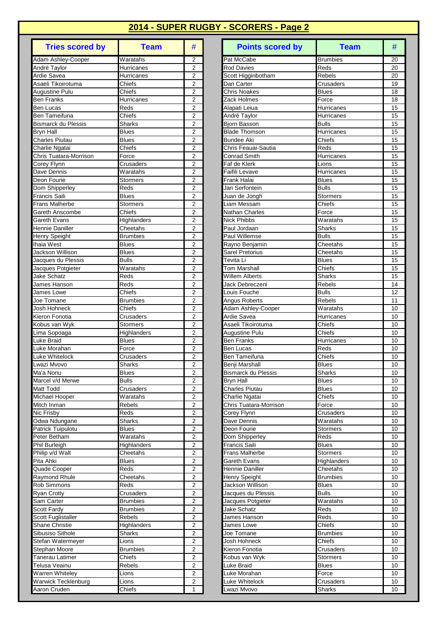| <b>Tries scored by</b>                   | <b>Team</b>                  | #                                |
|------------------------------------------|------------------------------|----------------------------------|
| Adam Ashley-Cooper                       | Waratahs                     | 2                                |
| André Taylor                             | Hurricanes                   | $\overline{2}$                   |
| Ardie Savea                              | Hurricanes                   | 2                                |
| Asaeli Tikoirotuma<br>Augustine Pulu     | Chiefs<br>Chiefs             | $\overline{2}$<br>2              |
| <b>Ben Franks</b>                        | Hurricanes                   | 2                                |
| <b>Ben Lucas</b>                         | Reds                         | $\overline{2}$                   |
| <b>Ben Tameifuna</b>                     | Chiefs                       | $\overline{2}$                   |
| Bismarck du Plessis                      | Sharks                       | 2                                |
| Bryn Hall                                | <b>Blues</b>                 | $\overline{2}$                   |
| Charles Piutau                           | <b>Blues</b>                 | $\overline{2}$                   |
| Charlie Ngatai<br>Chris Tuatara-Morrison | Chiefs                       | $\overline{2}$<br>$\overline{2}$ |
| Corey Flynn                              | Force<br>Crusaders           | 2                                |
| Dave Dennis                              | Waratahs                     | $\overline{2}$                   |
| Deon Fourie                              | <b>Stormers</b>              | $\overline{2}$                   |
| Dom Shipperley                           | Reds                         | 2                                |
| <b>Francis Saili</b>                     | <b>Blues</b>                 | $\overline{2}$                   |
| <b>Frans Malherbe</b>                    | <b>Stormers</b>              | $\overline{2}$                   |
| Gareth Anscombe                          | Chiefs                       | $\overline{2}$                   |
| Gareth Evans                             | Highlanders<br>Cheetahs      | $\overline{2}$<br>$\overline{2}$ |
| Hennie Daniller<br>Henry Speight         | <b>Brumbies</b>              | $\overline{2}$                   |
| <b>Ihaia West</b>                        | <b>Blues</b>                 | $\overline{2}$                   |
| <b>Jackson Willison</b>                  | <b>Blues</b>                 | $\overline{2}$                   |
| Jacques du Plessis                       | <b>Bulls</b>                 | 2                                |
| Jacques Potgieter                        | Waratahs                     | $\overline{2}$                   |
| Jake Schatz                              | Reds                         | $\overline{2}$                   |
| James Hanson                             | Reds                         | $\overline{2}$                   |
| James Lowe                               | Chiefs                       | $\overline{2}$                   |
| Joe Tomane                               | <b>Brumbies</b>              | 2<br>$\overline{2}$              |
| Josh Hohneck<br>Kieron Fonotia           | Chiefs<br>Crusaders          | $\overline{2}$                   |
| Kobus van Wyk                            | Stormers                     | 2                                |
| Lima Sopoaga                             | Highlanders                  | $\overline{2}$                   |
| Luke Braid                               | <b>Blues</b>                 | $\overline{2}$                   |
| Luke Morahan                             | Force                        | $\overline{2}$                   |
| Luke Whitelock                           | Crusaders                    | $\overline{2}$                   |
| Lwazi Mvovo                              | Sharks                       | $\overline{2}$                   |
| Ma'a Nonu<br>Marcel v/d Merwe            | <b>Blues</b><br><b>Bulls</b> | 2<br>2                           |
| Matt Todd                                | Crusaders                    | 2                                |
| Michael Hooper                           | Waratahs                     | 2                                |
| Mitch Inman                              | <b>Rebels</b>                | 2                                |
| Nic Frisby                               | Reds                         | $\overline{c}$                   |
| Odwa Ndungane                            | <b>Sharks</b>                | $\overline{2}$                   |
| Patrick Tuipulotu                        | <b>Blues</b>                 | $\overline{\mathbf{c}}$          |
| Peter Betham                             | Waratahs                     | 2                                |
| Phil Burleigh                            | Highlanders                  | 2<br>$\overline{2}$              |
| Philip v/d Walt<br>Pita Ahki             | Cheetahs<br><b>Blues</b>     | $\overline{\mathbf{c}}$          |
| Quade Cooper                             | Reds                         | 2                                |
| Raymond Rhule                            | Cheetahs                     | 2                                |
| Rob Simmons                              | Reds                         | 2                                |
| <b>Ryan Crotty</b>                       | Crusaders                    | $\overline{2}$                   |
| Sam Carter                               | <b>Brumbies</b>              | $\overline{\mathbf{c}}$          |
| Scott Fardy                              | <b>Brumbies</b>              | $\overline{2}$                   |
| Scott Fuglistaller                       | Rebels                       | 2                                |
| <b>Shane Christie</b>                    | Highlanders                  | $\overline{\mathbf{c}}$          |
| Sibusiso Sithole<br>Stefan Watermeyer    | Sharks<br>Lions              | $\overline{2}$<br>$\overline{c}$ |
| Stephan Moore                            | <b>Brumbies</b>              | $\overline{c}$                   |
| Tanerau Latimer                          | Chiefs                       | 2                                |
| Telusa Veainu                            | Rebels                       | 2                                |
| Warren Whiteley                          | Lions                        | 2                                |
| Warwick Tecklenburg                      | Lions                        | $\overline{2}$                   |
| Aaron Cruden                             | Chiefs                       | 1                                |

| <b>Tries scored by</b>            | <b>Team</b>             | #                                | <b>Points scored by</b>              | <b>Team</b>                  | #        |
|-----------------------------------|-------------------------|----------------------------------|--------------------------------------|------------------------------|----------|
| Adam Ashley-Cooper                | Waratahs                | 2                                | Pat McCabe                           | <b>Brumbies</b>              | 20       |
| André Taylor                      | Hurricanes              | $\overline{2}$                   | <b>Rod Davies</b>                    | Reds                         | 20       |
| Ardie Savea                       | Hurricanes              | $\overline{2}$                   | Scott Higginbotham                   | <b>Rebels</b>                | 20       |
| Asaeli Tikoirotuma                | Chiefs                  | $\overline{2}$                   | Dan Carter                           | Crusaders                    | 19       |
| Augustine Pulu                    | Chiefs                  | 2                                | <b>Chris Noakes</b>                  | <b>Blues</b>                 | 18       |
| Ben Franks<br><b>Ben Lucas</b>    | Hurricanes<br>Reds      | $\overline{2}$<br>$\overline{2}$ | Zack Holmes                          | Force                        | 18       |
| Ben Tameifuna                     | Chiefs                  | $\overline{2}$                   | Alapati Leiua<br>André Taylor        | Hurricanes<br>Hurricanes     | 15<br>15 |
| <b>Bismarck du Plessis</b>        | <b>Sharks</b>           | $\overline{2}$                   | <b>Biorn Basson</b>                  | <b>Bulls</b>                 | 15       |
| <b>Bryn Hall</b>                  | <b>Blues</b>            | 2                                | <b>Blade Thomson</b>                 | Hurricanes                   | 15       |
| Charles Piutau                    | Blues                   | $\overline{2}$                   | Bundee Aki                           | Chiefs                       | 15       |
| Charlie Ngatai                    | Chiefs                  | $\overline{2}$                   | Chris Feauai-Sautia                  | Reds                         | 15       |
| Chris Tuatara-Morrison            | Force                   | $\overline{2}$                   | <b>Conrad Smith</b>                  | Hurricanes                   | 15       |
| Corey Flynn                       | Crusaders               | $\overline{2}$                   | Faf de Klerk                         | Lions                        | 15       |
| Dave Dennis                       | Waratahs                | $\overline{2}$                   | Faifili Levave                       | Hurricanes                   | 15       |
| Deon Fourie                       | <b>Stormers</b>         | $\overline{2}$                   | Frank Halai                          | <b>Blues</b>                 | 15       |
| Dom Shipperley                    | Reds                    | $\overline{2}$                   | Jan Serfontein                       | <b>Bulls</b>                 | 15       |
| Francis Saili                     | <b>Blues</b>            | $\overline{2}$                   | Juan de Jongh                        | Stormers                     | 15       |
| <b>Frans Malherbe</b>             | Stormers                | $\overline{2}$                   | Liam Messam                          | Chiefs                       | 15       |
| Gareth Anscombe                   | Chiefs                  | $\overline{2}$                   | Nathan Charles                       | Force                        | 15       |
| Gareth Evans<br>Hennie Daniller   | Highlanders<br>Cheetahs | 2<br>2                           | <b>Nick Phibbs</b><br>Paul Jordaan   | Waratahs<br>Sharks           | 15<br>15 |
| Henry Speight                     | <b>Brumbies</b>         | $\overline{2}$                   | Paul Willemse                        | <b>Bulls</b>                 | 15       |
| Ihaia West                        | <b>Blues</b>            | $\overline{c}$                   | Rayno Benjamin                       | Cheetahs                     | 15       |
| Jackson Willison                  | Blues                   | $\overline{2}$                   | Sarel Pretorius                      | Cheetahs                     | 15       |
| Jacques du Plessis                | <b>Bulls</b>            | $\overline{2}$                   | Tevita Li                            | <b>Blues</b>                 | 15       |
| Jacques Potgieter                 | Waratahs                | $\overline{2}$                   | Tom Marshall                         | Chiefs                       | 15       |
| Jake Schatz                       | Reds                    | $\overline{2}$                   | <b>Willem Alberts</b>                | Sharks                       | 15       |
| James Hanson                      | Reds                    | $\overline{2}$                   | Jack Debreczeni                      | Rebels                       | 14       |
| James Lowe                        | Chiefs                  | $\overline{2}$                   | Louis Fouche                         | <b>Bulls</b>                 | 12       |
| Joe Tomane                        | <b>Brumbies</b>         | $\overline{2}$                   | <b>Angus Roberts</b>                 | Rebels                       | 11       |
| Josh Hohneck                      | Chiefs                  | $\overline{2}$                   | Adam Ashley-Cooper                   | Waratahs                     | 10       |
| Kieron Fonotia                    | Crusaders               | 2<br>$\overline{2}$              | Ardie Savea                          | Hurricanes                   | 10       |
| Kobus van Wyk                     | Stormers<br>Highlanders | $\overline{2}$                   | Asaeli Tikoirotuma<br>Augustine Pulu | Chiefs<br>Chiefs             | 10<br>10 |
| Lima Sopoaga<br>Luke Braid        | <b>Blues</b>            | $\overline{2}$                   | <b>Ben Franks</b>                    | Hurricanes                   | 10       |
| Luke Morahan                      | Force                   | $\overline{2}$                   | <b>Ben Lucas</b>                     | Reds                         | 10       |
| Luke Whitelock                    | Crusaders               | $\overline{2}$                   | Ben Tameifuna                        | Chiefs                       | 10       |
| Lwazi Mvovo                       | Sharks                  | $\overline{2}$                   | Benji Marshall                       | <b>Blues</b>                 | 10       |
| Ma'a Nonu                         | <b>Blues</b>            | $\overline{2}$                   | <b>Bismarck du Plessis</b>           | Sharks                       | 10       |
| Marcel v/d Merwe                  | <b>Bulls</b>            | $\overline{2}$                   | <b>Bryn Hall</b>                     | <b>Blues</b>                 | 10       |
| Matt Todd                         | Crusaders               | $\overline{c}$                   | <b>Charles Piutau</b>                | <b>Blues</b>                 | 10       |
| Michael Hooper                    | Waratahs                | 2                                | Charlie Ngatai                       | Chiefs                       | 10       |
| Mitch Inman                       | Rebels                  | 2                                | Chris Tuatara-Morrison               | Force                        | 10       |
| Nic Frisby                        | Reds                    | 2                                | Corey Flynn                          | Crusaders                    | 10       |
| Odwa Ndungane                     | Sharks                  | $\overline{2}$                   | Dave Dennis                          | Waratahs                     | 10       |
| Patrick Tuipulotu<br>Peter Betham | Blues<br>Waratahs       | 2<br>$\overline{2}$              | Deon Fourie<br>Dom Shipperley        | <b>Stormers</b><br>Reds      | 10<br>10 |
| Phil Burleigh                     | Highlanders             | 2                                | <b>Francis Saili</b>                 | <b>Blues</b>                 | 10       |
| Philip v/d Walt                   | Cheetahs                | 2                                | Frans Malherbe                       | Stormers                     | 10       |
| Pita Ahki                         | <b>Blues</b>            | $\overline{2}$                   | Gareth Evans                         | Highlanders                  | 10       |
| Quade Cooper                      | Reds                    | $\overline{c}$                   | Hennie Daniller                      | Cheetahs                     | 10       |
| Raymond Rhule                     | Cheetahs                | 2                                | Henry Speight                        | <b>Brumbies</b>              | 10       |
| <b>Rob Simmons</b>                | Reds                    | $\overline{2}$                   | Jackson Willison                     | <b>Blues</b>                 | 10       |
| Ryan Crotty                       | Crusaders               | 2                                | Jacques du Plessis                   | <b>Bulls</b>                 | 10       |
| Sam Carter                        | Brumbies                | 2                                | Jacques Potgieter                    | Waratahs                     | 10       |
| Scott Fardy                       | <b>Brumbies</b>         | $\overline{2}$                   | Jake Schatz                          | Reds                         | 10       |
| Scott Fuglistaller                | Rebels                  | 2                                | James Hanson                         | Reds                         | 10       |
| Shane Christie                    | Highlanders             | $\overline{\mathbf{c}}$          | James Lowe                           | Chiefs                       | 10       |
| Sibusiso Sithole                  | <b>Sharks</b>           | 2                                | Joe Tomane                           | <b>Brumbies</b>              | 10       |
| Stefan Watermeyer                 | Lions                   | 2                                | Josh Hohneck                         | Chiefs                       | 10       |
| Stephan Moore<br>Tanerau Latimer  | Brumbies<br>Chiefs      | 2<br>$\overline{2}$              | Kieron Fonotia<br>Kobus van Wyk      | Crusaders<br><b>Stormers</b> | 10<br>10 |
| Telusa Veainu                     | Rebels                  | $\overline{2}$                   | Luke Braid                           | <b>Blues</b>                 | 10       |
| Warren Whiteley                   | Lions                   | 2                                | Luke Morahan                         | Force                        | 10       |
| Warwick Tecklenburg               | Lions                   | 2                                | Luke Whitelock                       | Crusaders                    | 10       |
| Aaron Cruden                      | Chiefs                  | 1                                | wazi Mvovo                           | <b>Sharks</b>                | 10       |
|                                   |                         |                                  |                                      |                              |          |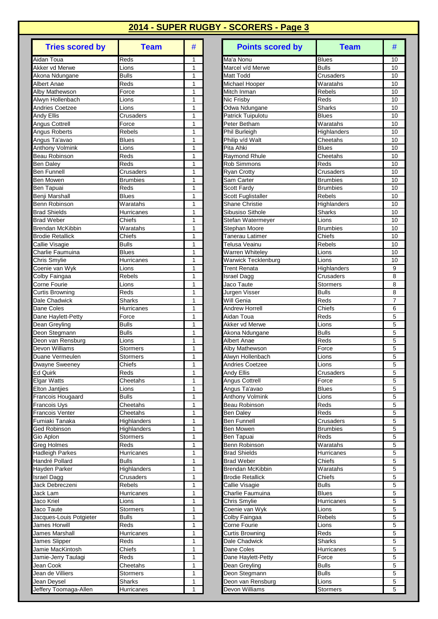| <b>Tries scored by</b>                    | <b>Team</b>                | #      |
|-------------------------------------------|----------------------------|--------|
| Aidan Toua                                | Reds                       | 1      |
| Akker vd Merwe                            | Lions                      | 1      |
| Akona Ndungane                            | Bulls                      | 1      |
| Albert Anae                               | Reds                       | 1      |
| Alby Mathewson<br>Alwyn Hollenbach        | Force<br>Lions             | 1<br>1 |
| <b>Andries Coetzee</b>                    | Lions                      | 1      |
| Andy Ellis                                | Crusaders                  | 1      |
| Angus Cottrell                            | Force                      | 1      |
| Angus Roberts                             | <b>Rebels</b>              | 1      |
| Angus Ta'avao                             | <b>Blues</b>               | 1      |
| <b>Anthony Volmink</b>                    | Lions                      | 1      |
| <b>Beau Robinson</b><br><b>Ben Daley</b>  | Reds<br>Reds               | 1<br>1 |
| Ben Funnell                               | Crusaders                  | 1      |
| <b>Ben Mowen</b>                          | <b>Brumbies</b>            | 1      |
| Ben Tapuai                                | Reds                       | 1      |
| Benji Marshall                            | <b>Blues</b>               | 1      |
| <b>Benn Robinson</b>                      | Waratahs                   | 1      |
| <b>Brad Shields</b>                       | Hurricanes                 | 1      |
| <b>Brad Weber</b>                         | Chiefs                     | 1      |
| <b>Brendan McKibbin</b>                   | Waratahs                   | 1<br>1 |
| <b>Brodie Retallick</b><br>Callie Visagie | Chiefs<br><b>Bulls</b>     | 1      |
| Charlie Faumuina                          | <b>Blues</b>               | 1      |
| Chris Smylie                              | Hurricanes                 | 1      |
| Coenie van Wyk                            | Lions                      | 1      |
| Colby Faingaa                             | Rebels                     | 1      |
| Corne Fourie                              | Lions                      | 1      |
| Curtis Browning                           | Reds                       | 1      |
| Dale Chadwick                             | Sharks                     | 1      |
| Dane Coles<br>Dane Haylett-Petty          | Hurricanes<br>Force        | 1<br>1 |
| Dean Greyling                             | <b>Bulls</b>               | 1      |
| Deon Stegmann                             | <b>Bulls</b>               | 1      |
| Deon van Rensburg                         | Lions                      | 1      |
| Devon Williams                            | Stormers                   | 1      |
| Duane Vermeulen                           | Stormers                   | 1      |
| Dwayne Sweeney                            | Chiefs                     | 1      |
| Ed Quirk                                  | Reds                       | 1      |
| <b>Elgar Watts</b>                        | Cheetahs                   | 1<br>1 |
| Elton Jantjies<br>Francois Hougaard       | Lions<br><b>Bulls</b>      | 1      |
| Francois Uys                              | Cheetahs                   | 1      |
| <b>Francois Venter</b>                    | Cheetahs                   | 1      |
| Fumiaki Tanaka                            | Highlanders                | 1      |
| Ged Robinson                              | Highlanders                | 1      |
| Gio Aplon                                 | Stormers                   | 1      |
| Greg Holmes                               | Reds                       | 1      |
| <b>Hadleigh Parkes</b>                    | Hurricanes<br><b>Bulls</b> | 1<br>1 |
| Handré Pollard<br>Hayden Parker           | Highlanders                | 1      |
| Israel Dagg                               | Crusaders                  | 1      |
| Jack Debreczeni                           | Rebels                     | 1      |
| Jack Lam                                  | Hurricanes                 | 1      |
| Jaco Kriel                                | Lions                      | 1      |
| Jaco Taute                                | <b>Stormers</b>            | 1      |
| Jacques-Louis Potgieter                   | <b>Bulls</b>               | 1      |
| <b>James Horwill</b>                      | Reds                       | 1      |
| James Marshall                            | Hurricanes<br>Reds         | 1<br>1 |
| James Slipper<br>Jamie MacKintosh         | Chiefs                     | 1      |
| Jamie-Jerry Taulagi                       | Reds                       | 1      |
| Jean Cook                                 | Cheetahs                   | 1      |
| Jean de Villiers                          | Stormers                   | 1      |
| Jean Deysel                               | Sharks                     | 1      |
| Jeffery Toomaga-Allen                     | Hurricanes                 | 1      |

| <b>Tries scored by</b>       | <b>Team</b>                 | #                 | <b>Points scored by</b>               | <b>Team</b>              | #                   |
|------------------------------|-----------------------------|-------------------|---------------------------------------|--------------------------|---------------------|
| Aidan Toua                   | Reds                        | 1                 | Ma'a Nonu                             | <b>Blues</b>             | 10                  |
| Akker vd Merwe               | Lions                       | 1                 | Marcel v/d Merwe                      | <b>Bulls</b>             | 10                  |
| Akona Ndungane               | <b>Bulls</b>                | 1                 | Matt Todd                             | Crusaders                | 10                  |
| Albert Anae                  | Reds                        | 1                 | Michael Hooper                        | Waratahs                 | 10                  |
| Alby Mathewson               | Force                       | 1                 | Mitch Inman                           | <b>Rebels</b>            | 10                  |
| Alwyn Hollenbach             | ∟ions                       | 1                 | Nic Frisby                            | Reds                     | 10                  |
| <b>Andries Coetzee</b>       | Lions                       | 1                 | Odwa Ndungane                         | Sharks                   | 10                  |
| Andy Ellis<br>Angus Cottrell | Crusaders<br>Force          | 1<br>1            | Patrick Tuipulotu<br>Peter Betham     | <b>Blues</b><br>Waratahs | 10<br>10            |
| Angus Roberts                | Rebels                      | 1                 | Phil Burleigh                         | Highlanders              | 10                  |
| Angus Ta'avao                | <b>Blues</b>                | 1                 | Philip v/d Walt                       | Cheetahs                 | 10                  |
| <b>Anthony Volmink</b>       | Lions                       | 1                 | Pita Ahki                             | <b>Blues</b>             | 10                  |
| Beau Robinson                | Reds                        | 1                 | Raymond Rhule                         | Cheetahs                 | 10                  |
| <b>Ben Daley</b>             | Reds                        | 1                 | <b>Rob Simmons</b>                    | Reds                     | 10                  |
| <b>Ben Funnell</b>           | Crusaders                   | 1                 | <b>Ryan Crotty</b>                    | Crusaders                | 10                  |
| Ben Mowen                    | <b>Brumbies</b>             | 1                 | Sam Carter                            | <b>Brumbies</b>          | 10                  |
| <b>Ben Tapuai</b>            | Reds                        | 1                 | <b>Scott Fardy</b>                    | <b>Brumbies</b>          | 10                  |
| Benji Marshall               | <b>Blues</b>                | 1                 | <b>Scott Fuglistaller</b>             | <b>Rebels</b>            | 10                  |
| <b>Benn Robinson</b>         | Waratahs                    | 1                 | <b>Shane Christie</b>                 | Highlanders              | 10                  |
| <b>Brad Shields</b>          | Hurricanes                  | 1                 | Sibusiso Sithole                      | Sharks                   | 10                  |
| <b>Brad Weber</b>            | Chiefs                      | 1                 | Stefan Watermeyer                     | Lions                    | 10                  |
| <b>Brendan McKibbin</b>      | Waratahs                    | 1                 | Stephan Moore                         | <b>Brumbies</b>          | 10                  |
| <b>Brodie Retallick</b>      | Chiefs                      | 1                 | Tanerau Latimer                       | Chiefs                   | 10                  |
| Callie Visagie               | <b>Bulls</b>                | 1                 | Telusa Veainu                         | Rebels                   | 10                  |
| Charlie Faumuina             | <b>Blues</b>                | 1                 | Warren Whiteley                       | Lions                    | 10                  |
| Chris Smylie                 | Hurricanes                  | 1                 | <b>Warwick Tecklenburg</b>            | Lions                    | 10                  |
| Coenie van Wyk               | Lions                       | 1                 | Trent Renata                          | Highlanders              | 9                   |
| Colby Faingaa                | Rebels                      | 1                 | <b>Israel Dagg</b>                    | Crusaders                | 8                   |
| Corne Fourie                 | Lions                       | 1<br>$\mathbf{1}$ | Jaco Taute                            | <b>Stormers</b>          | 8                   |
| <b>Curtis Browning</b>       | Reds<br>Sharks              | 1                 | Jurgen Visser<br>Will Genia           | <b>Bulls</b>             | 8<br>$\overline{7}$ |
| Dale Chadwick<br>Dane Coles  | Hurricanes                  | 1                 | <b>Andrew Horrell</b>                 | Reds<br>Chiefs           | 6                   |
| Dane Haylett-Petty           | Force                       | 1                 | Aidan Toua                            | Reds                     | 5                   |
| Dean Greyling                | <b>Bulls</b>                | 1                 | Akker vd Merwe                        | ∟ions                    | 5                   |
| Deon Stegmann                | <b>Bulls</b>                | 1                 | Akona Ndungane                        | <b>Bulls</b>             | 5                   |
| Deon van Rensburg            | Lions                       | 1                 | <b>Albert Anae</b>                    | Reds                     | 5                   |
| Devon Williams               | <b>Stormers</b>             | 1                 | Alby Mathewson                        | Force                    | 5                   |
| Duane Vermeulen              | Stormers                    | 1                 | Alwyn Hollenbach                      | Lions                    | 5                   |
| Dwayne Sweeney               | Chiefs                      | 1                 | Andries Coetzee                       | Lions                    | 5                   |
| Ed Quirk                     | Reds                        |                   | Andy Ellis                            | Crusaders                | 5                   |
| Elgar Watts                  | Cheetahs                    | 1                 | Angus Cottrell                        | Force                    | 5                   |
| <b>Elton Jantjies</b>        | Lions                       | 1                 | Angus Ta'avao                         | <b>Blues</b>             | 5                   |
| <b>Francois Hougaard</b>     | <b>Bulls</b>                | 1                 | <b>Anthony Volmink</b>                | Lions                    | 5                   |
| Francois Uys                 | Cheetahs                    | 1                 | Beau Robinson                         | Reds                     | 5                   |
| Francois Venter              | Cheetahs                    | 1                 | <b>Ben Daley</b>                      | Reds                     | 5                   |
| Fumiaki Tanaka               | <b>Highlanders</b>          | 1                 | Ben Funnell                           | Crusaders                | 5                   |
| Ged Robinson                 | Highlanders                 | 1                 | Ben Mowen                             | <b>Brumbies</b>          | 5                   |
| Gio Aplon                    | <b>Stormers</b>             | 1                 | Ben Tapuai                            | Reds                     | 5                   |
| Greg Holmes                  | Reds                        | 1                 | Benn Robinson                         | Waratahs                 | 5                   |
| Hadleigh Parkes              | Hurricanes                  | 1<br>1            | Brad Shields                          | Hurricanes               | 5<br>5              |
| Handré Pollard               | <b>Bulls</b><br>Highlanders | 1                 | <b>Brad Weber</b><br>Brendan McKibbin | Chiefs<br>Waratahs       | 5                   |
| Hayden Parker<br>Israel Dagg | Crusaders                   | 1                 | <b>Brodie Retallick</b>               | Chiefs                   | 5                   |
| Jack Debreczeni              | Rebels                      | 1                 | Callie Visagie                        | <b>Bulls</b>             | 5                   |
| Jack Lam                     | Hurricanes                  | 1                 | Charlie Faumuina                      | <b>Blues</b>             | 5                   |
| Jaco Kriel                   | Lions                       | 1                 | Chris Smylie                          | Hurricanes               | 5                   |
| Jaco Taute                   | Stormers                    | 1                 | Coenie van Wyk                        | Lions                    | 5                   |
| Jacques-Louis Potgieter      | <b>Bulls</b>                | 1                 | Colby Faingaa                         | Rebels                   | 5                   |
| James Horwill                | Reds                        | 1                 | Corne Fourie                          | Lions                    | 5                   |
| James Marshall               | Hurricanes                  | 1                 | <b>Curtis Browning</b>                | Reds                     | 5                   |
| James Slipper                | Reds                        | 1                 | Dale Chadwick                         | <b>Sharks</b>            | 5                   |
| Jamie MacKintosh             | Chiefs                      | 1                 | Dane Coles                            | Hurricanes               | 5                   |
| Jamie-Jerry Taulagi          | Reds                        | 1                 | Dane Haylett-Petty                    | Force                    | 5                   |
| Jean Cook                    | Cheetahs                    | 1                 | Dean Greyling                         | <b>Bulls</b>             | 5                   |
| Jean de Villiers             | Stormers                    | 1                 | Deon Stegmann                         | <b>Bulls</b>             | 5                   |
| Jean Deysel                  | Sharks                      | 1                 | Deon van Rensburg                     | Lions                    | 5                   |
| Jeffery Toomaga-Allen        | Hurricanes                  | $\mathbf{1}$      | Devon Williams                        | <b>Stormers</b>          | 5                   |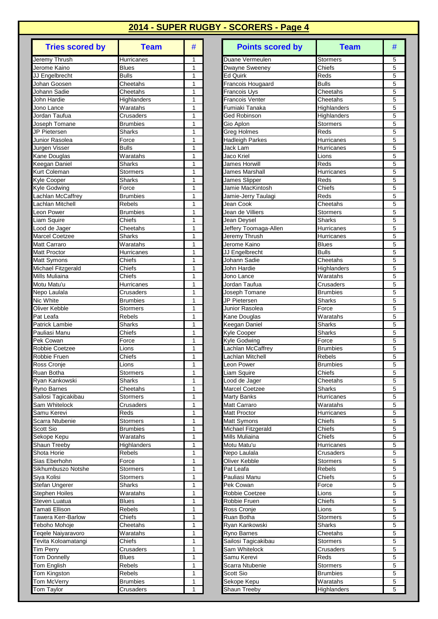| <b>Tries scored by</b>                 | <b>Team</b>                        | #              |
|----------------------------------------|------------------------------------|----------------|
| Jeremy Thrush                          | Hurricanes                         | 1              |
| Jerome Kaino                           | <b>Blues</b>                       | 1              |
| JJ Engelbrecht                         | <b>Bulls</b>                       | 1              |
| Johan Goosen                           | Cheetahs                           | 1              |
| Johann Sadie<br>John Hardie            | Cheetahs<br>Highlanders            | 1<br>1         |
| Jono Lance                             | Waratahs                           | 1              |
| Jordan Taufua                          | Crusaders                          | 1              |
| Joseph Tomane                          | <b>Brumbies</b>                    | 1              |
| JP Pietersen                           | Sharks                             | 1              |
| Junior Rasolea                         | Force                              | 1              |
| Jurgen Visser                          | <b>Bulls</b>                       | 1              |
| Kane Douglas                           | Waratahs                           | 1              |
| Keegan Daniel<br>Kurt Coleman          | Sharks<br>Stormers                 | 1<br>1         |
| Kyle Cooper                            | <b>Sharks</b>                      | 1              |
| Kyle Godwing                           | Force                              | 1              |
| Lachlan McCaffrey                      | <b>Brumbies</b>                    | 1              |
| Lachlan Mitchell                       | Rebels                             | 1              |
| Leon Power                             | <b>Brumbies</b>                    | 1              |
| Liam Squire                            | Chiefs                             | 1              |
| Lood de Jager                          | Cheetahs                           | 1              |
| <b>Marcel Coetzee</b>                  | <b>Sharks</b>                      | 1              |
| <b>Matt Carraro</b>                    | Waratahs                           | 1              |
| <b>Matt Proctor</b>                    | Hurricanes<br>Chiefs               | 1<br>1         |
| Matt Symons<br>Michael Fitzgerald      | Chiefs                             | 1              |
| Mills Muliaina                         | Chiefs                             | 1              |
| Motu Matu'u                            | Hurricanes                         | 1              |
| Nepo Laulala                           | Crusaders                          | 1              |
| Nic White                              | <b>Brumbies</b>                    | 1              |
| Oliver Kebble                          | <b>Stormers</b>                    | 1              |
| Pat Leafa                              | Rebels                             | 1              |
| Patrick Lambie                         | <b>Sharks</b>                      | 1              |
| Pauliasi Manu<br>Pek Cowan             | Chiefs<br>Force                    | 1<br>1         |
| Robbie Coetzee                         | Lions                              | 1              |
| Robbie Fruen                           | Chiefs                             | 1              |
| Ross Cronje                            | Lions                              | $\overline{1}$ |
| Ruan Botha                             | Stormers                           | 1              |
| Ryan Kankowski                         | Sharks                             | 1              |
| Ryno Barnes                            | Cheetahs                           | 1              |
| Sailosi Tagicakibau                    | Stormers                           | 1              |
| Sam Whitelock                          | Crusaders                          | 1              |
| Samu Kerevi                            | Reds                               | 1<br>1         |
| Scarra Ntubenie<br>Scott Sio           | <b>Stormers</b><br><b>Brumbies</b> | 1              |
| Sekope Kepu                            | Waratahs                           | 1              |
| Shaun Treeby                           | Highlanders                        | 1              |
| Shota Horie                            | Rebels                             | 1              |
| Sias Eberhohn                          | Force                              | 1              |
| Sikhumbuszo Notshe                     | Stormers                           | 1              |
| Siya Kolisi                            | Stormers                           | 1              |
| Stefan Ungerer                         | Sharks                             | 1              |
| Stephen Hoiles                         | Waratahs                           | 1              |
| Steven Luatua<br><b>Tamati Ellison</b> | <b>Blues</b><br>Rebels             | 1<br>1         |
| Tawera Kerr-Barlow                     | Chiefs                             | 1              |
| Teboho Mohoje                          | Cheetahs                           | 1              |
| Teqele Naiyaravoro                     | Waratahs                           | 1              |
| Tevita Koloamatangi                    | Chiefs                             | 1              |
| <b>Tim Perry</b>                       | Crusaders                          | 1              |
| <b>Tom Donnelly</b>                    | <b>Blues</b>                       | 1              |
| Tom English                            | Rebels                             | 1              |
| Tom Kingston                           | Rebels                             | 1              |
| Tom McVerry                            | <b>Brumbies</b>                    | 1              |
| Tom Taylor                             | Crusaders                          | 1              |

| <b>Tries scored by</b>                  | <b>Team</b>             | #            | <b>Points scored by</b>                         | <b>Team</b>                  | #      |
|-----------------------------------------|-------------------------|--------------|-------------------------------------------------|------------------------------|--------|
| Jeremy Thrush                           | Hurricanes              | 1            | Duane Vermeulen                                 | Stormers                     | 5      |
| Jerome Kaino                            | <b>Blues</b>            | 1            | Dwayne Sweeney                                  | Chiefs                       | 5      |
| JJ Engelbrecht                          | <b>Bulls</b>            | 1            | Ed Quirk                                        | Reds                         | 5      |
| Johan Goosen<br>Johann Sadie            | Cheetahs<br>Cheetahs    | 1<br>1       | <b>Francois Hougaard</b><br><b>Francois Uys</b> | <b>Bulls</b><br>Cheetahs     | 5<br>5 |
| John Hardie                             | Highlanders             | 1            | <b>Francois Venter</b>                          | Cheetahs                     | 5      |
| Jono Lance                              | Waratahs                | 1            | Fumiaki Tanaka                                  | <b>Highlanders</b>           | 5      |
| Jordan Taufua                           | Crusaders               | 1            | Ged Robinson                                    | Highlanders                  | 5      |
| Joseph Tomane                           | <b>Brumbies</b>         | $\mathbf{1}$ | Gio Aplon                                       | <b>Stormers</b>              | 5      |
| JP Pietersen                            | <b>Sharks</b>           | 1            | <b>Greg Holmes</b>                              | Reds                         | 5      |
| Junior Rasolea                          | Force                   | 1            | <b>Hadleigh Parkes</b>                          | Hurricanes                   | 5      |
| Jurgen Visser                           | <b>Bulls</b>            | 1            | Jack Lam                                        | Hurricanes                   | 5      |
| Kane Douglas                            | Waratahs                | 1            | Jaco Kriel                                      | Lions                        | 5      |
| Keegan Daniel                           | <b>Sharks</b>           | 1            | <b>James Horwill</b>                            | Reds                         | 5      |
| Kurt Coleman                            | <b>Stormers</b>         | 1            | James Marshall                                  | Hurricanes                   | 5      |
| Kyle Cooper<br>Kyle Godwing             | <b>Sharks</b><br>Force  | 1<br>1       | James Slipper<br>Jamie MacKintosh               | Reds<br>Chiefs               | 5<br>5 |
| Lachlan McCaffrey                       | <b>Brumbies</b>         | 1            | Jamie-Jerry Taulagi                             | Reds                         | 5      |
| Lachlan Mitchell                        | <b>Rebels</b>           | 1            | Jean Cook                                       | Cheetahs                     | 5      |
| Leon Power                              | <b>Brumbies</b>         | $\mathbf{1}$ | Jean de Villiers                                | <b>Stormers</b>              | 5      |
| Liam Squire                             | Chiefs                  | 1            | Jean Deysel                                     | Sharks                       | 5      |
| Lood de Jager                           | Cheetahs                | 1            | Jeffery Toomaga-Allen                           | Hurricanes                   | 5      |
| <b>Marcel Coetzee</b>                   | <b>Sharks</b>           | 1            | Jeremy Thrush                                   | Hurricanes                   | 5      |
| Matt Carraro                            | Waratahs                | 1            | Jerome Kaino                                    | <b>Blues</b>                 | 5      |
| <b>Matt Proctor</b>                     | Hurricanes              | 1            | JJ Engelbrecht                                  | <b>Bulls</b>                 | 5      |
| Matt Symons                             | Chiefs                  | 1            | Johann Sadie                                    | Cheetahs                     | 5      |
| Michael Fitzgerald                      | Chiefs                  | 1            | John Hardie                                     | Highlanders                  | 5      |
| Mills Muliaina                          | Chiefs                  | 1            | Jono Lance                                      | Waratahs                     | 5      |
| Motu Matu'u<br>Nepo Laulala             | Hurricanes<br>Crusaders | 1<br>1       | Jordan Taufua<br>Joseph Tomane                  | Crusaders<br><b>Brumbies</b> | 5<br>5 |
| Nic White                               | <b>Brumbies</b>         | $\mathbf{1}$ | JP Pietersen                                    | Sharks                       | 5      |
| Oliver Kebble                           | <b>Stormers</b>         | 1            | Junior Rasolea                                  | Force                        | 5      |
| Pat Leafa                               | <b>Rebels</b>           | 1            | Kane Douglas                                    | Waratahs                     | 5      |
| <b>Patrick Lambie</b>                   | Sharks                  | 1            | Keegan Daniel                                   | <b>Sharks</b>                | 5      |
| Pauliasi Manu                           | Chiefs                  | 1            | <b>Kyle Cooper</b>                              | Sharks                       | 5      |
| Pek Cowan                               | Force                   | 1            | Kyle Godwing                                    | Force                        | 5      |
| <b>Robbie Coetzee</b>                   | Lions                   | 1            | Lachlan McCaffrey                               | <b>Brumbies</b>              | 5      |
| Robbie Fruen                            | Chiefs                  | 1            | achlan Mitchell                                 | <b>Rebels</b>                | 5      |
| Ross Cronje                             | Lions                   | 1            | Leon Power                                      | <b>Brumbies</b>              | 5      |
| Ruan Botha                              | Stormers                | 1            | Liam Squire                                     | Chiefs                       | 5      |
| Ryan Kankowski<br>Ryno Barnes           | Sharks<br>Cheetahs      | 1<br>1       | Lood de Jager<br>Marcel Coetzee                 | Cheetahs<br>Sharks           | 5<br>5 |
| Sailosi Tagicakibau                     | Stormers                | 1            | Marty Banks                                     | Hurricanes                   | 5      |
| Sam Whitelock                           | Crusaders               | $\mathbf{1}$ | <b>Matt Carraro</b>                             | Waratahs                     | 5      |
| Samu Kerevi                             | Reds                    | 1            | <b>Matt Proctor</b>                             | Hurricanes                   | 5      |
| Scarra Ntubenie                         | Stormers                | 1            | Matt Symons                                     | Chiefs                       | 5      |
| Scott Sio                               | <b>Brumbies</b>         | 1            | Michael Fitzgerald                              | Chiefs                       | 5      |
| Sekope Kepu                             | Waratahs                | 1            | <b>Mills Muliaina</b>                           | Chiefs                       | 5      |
| Shaun Treeby                            | Highlanders             | 1            | Motu Matu'u                                     | Hurricanes                   | 5      |
| Shota Horie                             | <b>Rebels</b>           | 1            | Nepo Laulala                                    | Crusaders                    | 5      |
| Sias Eberhohn                           | Force                   | 1            | Oliver Kebble                                   | <b>Stormers</b>              | 5      |
| Sikhumbuszo Notshe                      | Stormers                | 1            | Pat Leafa                                       | Rebels                       | 5      |
| Siya Kolisi                             | <b>Stormers</b>         | 1<br>1       | Pauliasi Manu                                   | Chiefs                       | 5      |
| Stefan Ungerer<br><b>Stephen Hoiles</b> | Sharks<br>Waratahs      | 1            | Pek Cowan<br>Robbie Coetzee                     | Force<br>Lions               | 5<br>5 |
| Steven Luatua                           | <b>Blues</b>            | 1            | Robbie Fruen                                    | Chiefs                       | 5      |
| Tamati Ellison                          | Rebels                  | 1            | Ross Cronje                                     | Lions                        | 5      |
| Tawera Kerr-Barlow                      | Chiefs                  | 1            | Ruan Botha                                      | Stormers                     | 5      |
| Teboho Mohoje                           | Cheetahs                | 1            | Ryan Kankowski                                  | Sharks                       | 5      |
| Tegele Naiyaravoro                      | Waratahs                | 1            | Ryno Barnes                                     | Cheetahs                     | 5      |
| Tevita Koloamatangi                     | Chiefs                  | 1            | Sailosi Tagicakibau                             | Stormers                     | 5      |
| Tim Perry                               | Crusaders               | 1            | Sam Whitelock                                   | Crusaders                    | 5      |
| <b>Tom Donnelly</b>                     | <b>Blues</b>            | 1            | Samu Kerevi                                     | Reds                         | 5      |
| Tom English                             | Rebels                  | 1            | Scarra Ntubenie                                 | Stormers                     | 5      |
| Tom Kingston                            | Rebels                  | 1            | Scott Sio                                       | <b>Brumbies</b>              | 5      |
| Tom McVerry                             | <b>Brumbies</b>         | 1            | Sekope Kepu                                     | Waratahs                     | 5      |
| Tom Taylor                              | Crusaders               | $\mathbf{1}$ | Shaun Treeby                                    | Highlanders                  | 5      |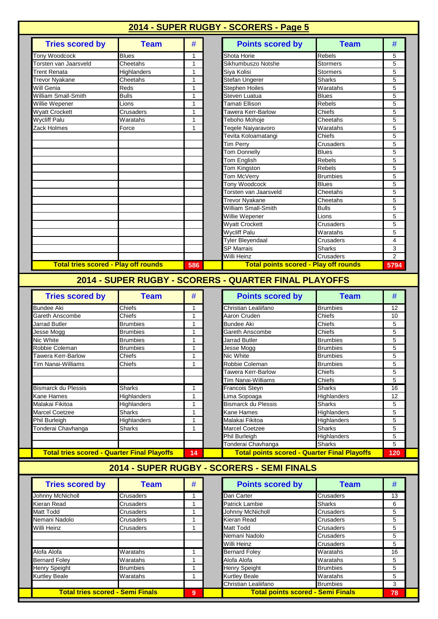| <b>Tries scored by</b>                                                                                                                                | <b>Team</b>     | #            | <b>Points scored by</b>                               | <b>Team</b>           | #                                           |
|-------------------------------------------------------------------------------------------------------------------------------------------------------|-----------------|--------------|-------------------------------------------------------|-----------------------|---------------------------------------------|
| Tony Woodcock                                                                                                                                         | <b>Blues</b>    | 1            | Shota Horie                                           | Rebels                | 5                                           |
| Torsten van Jaarsveld                                                                                                                                 | Cheetahs        | 1            | Sikhumbuszo Notshe                                    | <b>Stormers</b>       | 5                                           |
| Trent Renata                                                                                                                                          | Highlanders     | $\mathbf{1}$ | Siya Kolisi                                           | <b>Stormers</b>       | 5                                           |
| <b>Trevor Nyakane</b>                                                                                                                                 | Cheetahs        | 1            | Stefan Ungerer                                        | <b>Sharks</b>         | 5                                           |
| Will Genia                                                                                                                                            | Reds            | 1            | <b>Stephen Hoiles</b>                                 | Waratahs              | 5                                           |
| William Small-Smith                                                                                                                                   | <b>Bulls</b>    | $\mathbf{1}$ | Steven Luatua                                         | <b>Blues</b>          | 5                                           |
| Willie Wepener                                                                                                                                        | Lions           | $\mathbf{1}$ | Tamati Ellison                                        | Rebels                | 5                                           |
| <b>Wyatt Crockett</b>                                                                                                                                 | Crusaders       | $\mathbf{1}$ | Tawera Kerr-Barlow                                    | Chiefs                | 5                                           |
| <b>Wycliff Palu</b>                                                                                                                                   | Waratahs        | 1            | Teboho Mohoje                                         | Cheetahs              | 5                                           |
| Zack Holmes                                                                                                                                           | Force           | 1            | Teqele Naiyaravoro                                    | Waratahs              | 5                                           |
|                                                                                                                                                       |                 |              | Tevita Koloamatangi                                   | Chiefs                | 5                                           |
|                                                                                                                                                       |                 |              | Tim Perry                                             | Crusaders             | 5                                           |
|                                                                                                                                                       |                 |              | <b>Tom Donnelly</b>                                   | <b>Blues</b>          | 5                                           |
|                                                                                                                                                       |                 |              | Tom English                                           | Rebels                | 5                                           |
|                                                                                                                                                       |                 |              | <b>Tom Kingston</b>                                   | <b>Rebels</b>         | 5                                           |
|                                                                                                                                                       |                 |              | Tom McVerry                                           | <b>Brumbies</b>       | 5                                           |
|                                                                                                                                                       |                 |              | Tony Woodcock                                         | <b>Blues</b>          | 5                                           |
|                                                                                                                                                       |                 |              | Torsten van Jaarsveld                                 | Cheetahs              | 5                                           |
|                                                                                                                                                       |                 |              | <b>Trevor Nyakane</b>                                 | Cheetahs              | 5                                           |
|                                                                                                                                                       |                 |              | William Small-Smith                                   | <b>Bulls</b>          | 5                                           |
|                                                                                                                                                       |                 |              | Willie Wepener                                        | Lions                 | 5                                           |
|                                                                                                                                                       |                 |              | <b>Wyatt Crockett</b>                                 | Crusaders             | 5                                           |
|                                                                                                                                                       |                 |              | <b>Wycliff Palu</b>                                   | Waratahs              | 5                                           |
|                                                                                                                                                       |                 |              |                                                       |                       |                                             |
|                                                                                                                                                       |                 |              | Tyler Bleyendaal                                      | Crusaders             |                                             |
|                                                                                                                                                       |                 |              | <b>SP Marrais</b>                                     | <b>Sharks</b>         |                                             |
|                                                                                                                                                       |                 |              | Willi Heinz                                           | <b>Crusaders</b>      |                                             |
| <b>Total tries scored - Play off rounds</b>                                                                                                           |                 | 586          | <b>Total points scored - Play off rounds</b>          |                       | 4<br>3<br>2<br>5794                         |
|                                                                                                                                                       | <b>Team</b>     |              | 2014 - SUPER RUGBY - SCORERS - QUARTER FINAL PLAYOFFS | <b>Team</b>           |                                             |
| <b>Tries scored by</b>                                                                                                                                |                 | #            | <b>Points scored by</b>                               |                       |                                             |
|                                                                                                                                                       | Chiefs          | 1            | Christian Lealiifano                                  | <b>Brumbies</b>       |                                             |
|                                                                                                                                                       | Chiefs          | $\mathbf{1}$ | Aaron Cruden                                          | Chiefs                |                                             |
|                                                                                                                                                       | <b>Brumbies</b> | $\mathbf{1}$ | <b>Bundee Aki</b>                                     | Chiefs                |                                             |
|                                                                                                                                                       | Brumbies        | 1            | Gareth Anscombe                                       | Chiefs                |                                             |
|                                                                                                                                                       | <b>Brumbies</b> | 1            | <b>Jarrad Butler</b>                                  | <b>Brumbies</b>       |                                             |
|                                                                                                                                                       | <b>Brumbies</b> | 1            | Jesse Mogg                                            | <b>Brumbies</b>       |                                             |
|                                                                                                                                                       | Chiefs          | 1            | Nic White                                             | <b>Brumbies</b>       |                                             |
| <b>Bundee Aki</b><br>Gareth Anscombe<br>Jarrad Butler<br>Jesse Mogg<br>Nic White<br>Robbie Coleman<br>Tawera Kerr-Barlow<br><b>Tim Nanai-Williams</b> | Chiefs          | 1            | Robbie Coleman                                        | <b>Brumbies</b>       | #<br>12<br>10<br>5<br>5<br>5<br>5<br>5<br>5 |
|                                                                                                                                                       |                 |              | Tawera Kerr-Barlow                                    | Chiefs                |                                             |
|                                                                                                                                                       |                 |              | Tim Nanai-Williams                                    | Chiefs                |                                             |
|                                                                                                                                                       | <b>Sharks</b>   | 1            | Francois Steyn                                        | <b>Sharks</b>         | 5<br>5<br>16                                |
|                                                                                                                                                       | Highlanders     | 1            | Lima Sopoaga                                          | Highlanders           | 12                                          |
|                                                                                                                                                       | Highlanders     | 1            | <b>Bismarck du Plessis</b>                            | Sharks                | 5                                           |
| <b>Bismarck du Plessis</b><br>Kane Hames<br>Malakai Fikitoa<br>Marcel Coetzee                                                                         | Sharks          | 1            | Kane Hames                                            | Highlanders           | 5                                           |
| Phil Burleigh                                                                                                                                         | Highlanders     | 1            | Malakai Fikitoa                                       | Highlanders           |                                             |
|                                                                                                                                                       | Sharks          | 1            | <b>Marcel Coetzee</b>                                 | Sharks                |                                             |
| Tonderai Chavhanga                                                                                                                                    |                 |              | Phil Burleigh<br>Tonderai Chavhanga                   | Highlanders<br>Sharks | 5<br>5<br>5<br>5                            |

| <b>Tries scored by</b>                  | <b>Team</b>     | # | <b>Points scored by</b>                  | Team             |
|-----------------------------------------|-----------------|---|------------------------------------------|------------------|
| <b>Johnny McNicholl</b>                 | Crusaders       |   | Dan Carter                               | <b>Crusaders</b> |
| Kieran Read                             | Crusaders       |   | <b>Patrick Lambie</b>                    | <b>Sharks</b>    |
| <b>Matt Todd</b>                        | Crusaders       |   | Johnny McNicholl                         | <b>Crusaders</b> |
| Nemani Nadolo                           | Crusaders       |   | Kieran Read                              | <b>Crusaders</b> |
| Willi Heinz                             | Crusaders       |   | Matt Todd                                | <b>Crusaders</b> |
|                                         |                 |   | Nemani Nadolo                            | <b>Crusaders</b> |
|                                         |                 |   | Willi Heinz                              | <b>Crusaders</b> |
| Alofa Alofa                             | Waratahs        |   | <b>Bernard Foley</b>                     | Waratahs         |
| <b>Bernard Foley</b>                    | Waratahs        |   | Alofa Alofa                              | Waratahs         |
| <b>Henry Speight</b>                    | <b>Brumbies</b> |   | <b>Henry Speight</b>                     | <b>Brumbies</b>  |
| <b>Kurtley Beale</b>                    | Waratahs        |   | <b>Kurtley Beale</b>                     | Waratahs         |
|                                         |                 |   | Christian Lealiifano                     | <b>Brumbies</b>  |
| <b>Total tries scored - Semi Finals</b> |                 | 9 | <b>Total points scored - Semi Finals</b> |                  |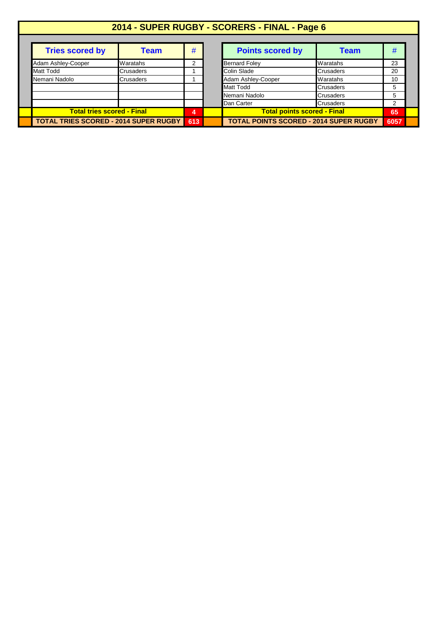|                                              |           |     | 2014 - SUPER RUGBY - SCORERS - FINAL - Page 6 |                  |      |  |
|----------------------------------------------|-----------|-----|-----------------------------------------------|------------------|------|--|
| <b>Tries scored by</b>                       | Team      | #   | <b>Points scored by</b>                       | Team             | #    |  |
| Adam Ashley-Cooper                           | Waratahs  | 2   | <b>Bernard Foley</b>                          | Waratahs         | 23   |  |
| <b>Matt Todd</b>                             | Crusaders |     | Colin Slade<br><b>Crusaders</b>               |                  | 20   |  |
| Nemani Nadolo                                | Crusaders |     | Adam Ashley-Cooper                            | Waratahs         | 10   |  |
|                                              |           |     | Matt Todd                                     | Crusaders        | 5    |  |
|                                              |           |     | Nemani Nadolo                                 | Crusaders        | 5    |  |
|                                              |           |     | Dan Carter                                    | <b>Crusaders</b> | 2    |  |
| <b>Total tries scored - Final</b>            |           | 4   | <b>Total points scored - Final</b>            |                  | 65   |  |
| <b>TOTAL TRIES SCORED - 2014 SUPER RUGBY</b> |           | 613 | <b>TOTAL POINTS SCORED - 2014 SUPER RUGBY</b> |                  | 6057 |  |